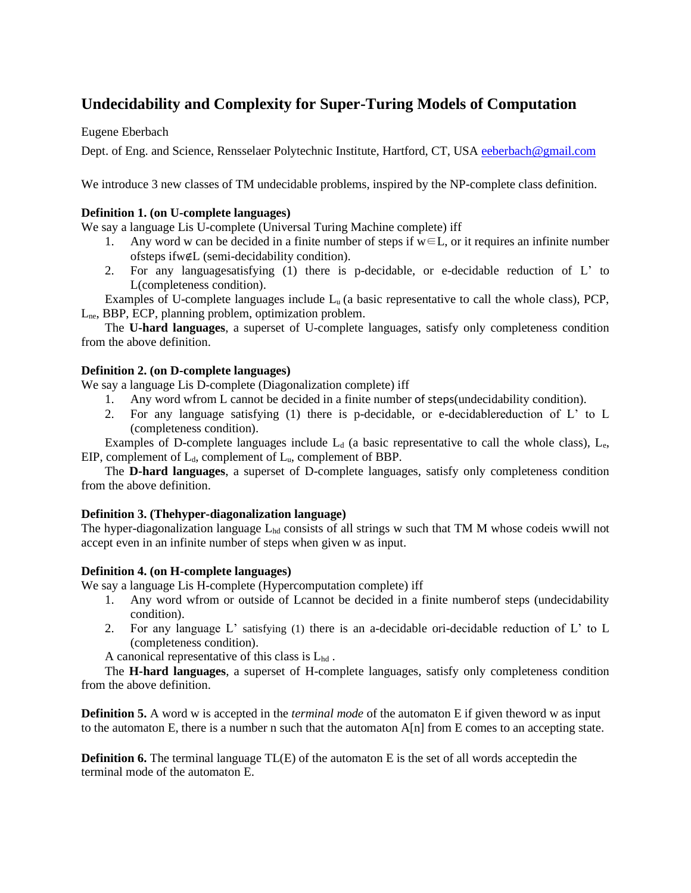# **Undecidability and Complexity for Super-Turing Models of Computation**

Eugene Eberbach

Dept. of Eng. and Science, Rensselaer Polytechnic Institute, Hartford, CT, USA [eeberbach@gmail.com](mailto:eeberbach@gmail.com)

We introduce 3 new classes of TM undecidable problems, inspired by the NP-complete class definition.

### **Definition 1. (on U-complete languages)**

We say a language Lis U-complete (Universal Turing Machine complete) iff

- 1. Any word w can be decided in a finite number of steps if  $w \in L$ , or it requires an infinite number ofsteps ifw∉L (semi-decidability condition).
- 2. For any languagesatisfying (1) there is p-decidable, or e-decidable reduction of L' to L(completeness condition).

Examples of U-complete languages include  $L<sub>u</sub>$  (a basic representative to call the whole class), PCP, Lne, BBP, ECP, planning problem, optimization problem.

The **U-hard languages**, a superset of U-complete languages, satisfy only completeness condition from the above definition.

#### **Definition 2. (on D-complete languages)**

We say a language Lis D-complete (Diagonalization complete) iff

- 1. Any word wfrom L cannot be decided in a finite number of steps(undecidability condition).
- 2. For any language satisfying (1) there is p-decidable, or e-decidablereduction of L' to L (completeness condition).

Examples of D-complete languages include  $L_d$  (a basic representative to call the whole class),  $L_e$ , EIP, complement of  $L_d$ , complement of  $L_u$ , complement of BBP.

The **D-hard languages**, a superset of D-complete languages, satisfy only completeness condition from the above definition.

## **Definition 3. (Thehyper-diagonalization language)**

The hyper-diagonalization language  $L_{bd}$  consists of all strings w such that TM M whose codeis wwill not accept even in an infinite number of steps when given w as input.

## **Definition 4. (on H-complete languages)**

We say a language Lis H-complete (Hypercomputation complete) iff

- 1. Any word wfrom or outside of Lcannot be decided in a finite numberof steps (undecidability condition).
- 2. For any language L' satisfying (1) there is an a-decidable ori-decidable reduction of L' to L (completeness condition).

A canonical representative of this class is Lhd .

The **H-hard languages**, a superset of H-complete languages, satisfy only completeness condition from the above definition.

**Definition 5.** A word w is accepted in the *terminal mode* of the automaton E if given theword w as input to the automaton E, there is a number n such that the automaton  $A[n]$  from E comes to an accepting state.

**Definition 6.** The terminal language TL(E) of the automaton E is the set of all words acceptedin the terminal mode of the automaton E.